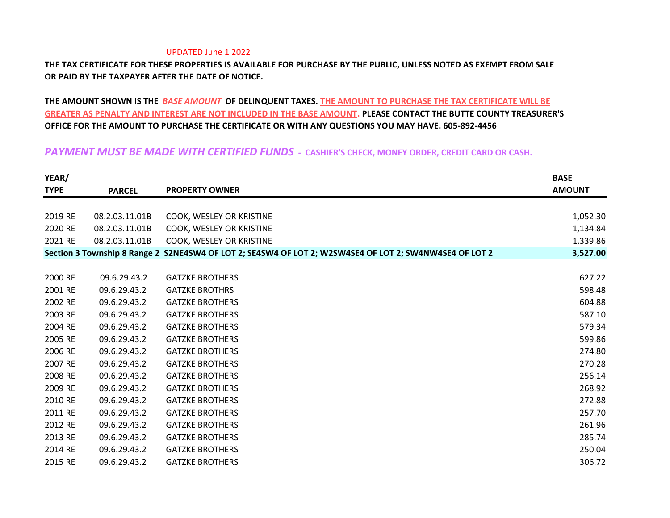## UPDATED June 1 2022

## **THE TAX CERTIFICATE FOR THESE PROPERTIES IS AVAILABLE FOR PURCHASE BY THE PUBLIC, UNLESS NOTED AS EXEMPT FROM SALE OR PAID BY THE TAXPAYER AFTER THE DATE OF NOTICE.**

## **THE AMOUNT SHOWN IS THE** *BASE AMOUNT* **OF DELINQUENT TAXES. THE AMOUNT TO PURCHASE THE TAX CERTIFICATE WILL BE GREATER AS PENALTY AND INTEREST ARE NOT INCLUDED IN THE BASE AMOUNT. PLEASE CONTACT THE BUTTE COUNTY TREASURER'S OFFICE FOR THE AMOUNT TO PURCHASE THE CERTIFICATE OR WITH ANY QUESTIONS YOU MAY HAVE. 605-892-4456**

## *PAYMENT MUST BE MADE WITH CERTIFIED FUNDS* **- CASHIER'S CHECK, MONEY ORDER, CREDIT CARD OR CASH.**

| YEAR/       |                |                                                                                                        | <b>BASE</b>   |
|-------------|----------------|--------------------------------------------------------------------------------------------------------|---------------|
| <b>TYPE</b> | <b>PARCEL</b>  | <b>PROPERTY OWNER</b>                                                                                  | <b>AMOUNT</b> |
|             |                |                                                                                                        |               |
| 2019 RE     | 08.2.03.11.01B | COOK, WESLEY OR KRISTINE                                                                               | 1,052.30      |
| 2020 RE     | 08.2.03.11.01B | COOK, WESLEY OR KRISTINE                                                                               | 1,134.84      |
| 2021 RE     | 08.2.03.11.01B | COOK, WESLEY OR KRISTINE                                                                               | 1,339.86      |
|             |                | Section 3 Township 8 Range 2 S2NE4SW4 OF LOT 2; SE4SW4 OF LOT 2; W2SW4SE4 OF LOT 2; SW4NW4SE4 OF LOT 2 | 3,527.00      |
|             |                |                                                                                                        |               |
| 2000 RE     | 09.6.29.43.2   | <b>GATZKE BROTHERS</b>                                                                                 | 627.22        |
| 2001 RE     | 09.6.29.43.2   | <b>GATZKE BROTHRS</b>                                                                                  | 598.48        |
| 2002 RE     | 09.6.29.43.2   | <b>GATZKE BROTHERS</b>                                                                                 | 604.88        |
| 2003 RE     | 09.6.29.43.2   | <b>GATZKE BROTHERS</b>                                                                                 | 587.10        |
| 2004 RE     | 09.6.29.43.2   | <b>GATZKE BROTHERS</b>                                                                                 | 579.34        |
| 2005 RE     | 09.6.29.43.2   | <b>GATZKE BROTHERS</b>                                                                                 | 599.86        |
| 2006 RE     | 09.6.29.43.2   | <b>GATZKE BROTHERS</b>                                                                                 | 274.80        |
| 2007 RE     | 09.6.29.43.2   | <b>GATZKE BROTHERS</b>                                                                                 | 270.28        |
| 2008 RE     | 09.6.29.43.2   | <b>GATZKE BROTHERS</b>                                                                                 | 256.14        |
| 2009 RE     | 09.6.29.43.2   | <b>GATZKE BROTHERS</b>                                                                                 | 268.92        |
| 2010 RE     | 09.6.29.43.2   | <b>GATZKE BROTHERS</b>                                                                                 | 272.88        |
| 2011 RE     | 09.6.29.43.2   | <b>GATZKE BROTHERS</b>                                                                                 | 257.70        |
| 2012 RE     | 09.6.29.43.2   | <b>GATZKE BROTHERS</b>                                                                                 | 261.96        |
| 2013 RE     | 09.6.29.43.2   | <b>GATZKE BROTHERS</b>                                                                                 | 285.74        |
| 2014 RE     | 09.6.29.43.2   | <b>GATZKE BROTHERS</b>                                                                                 | 250.04        |
| 2015 RE     | 09.6.29.43.2   | <b>GATZKE BROTHERS</b>                                                                                 | 306.72        |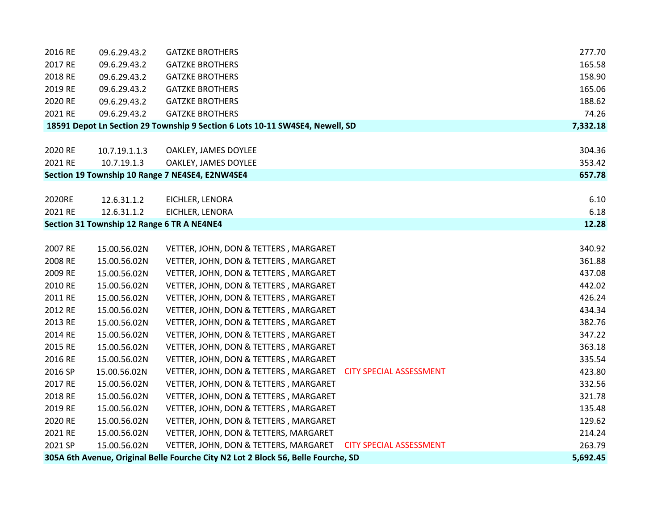| 2016 RE | 09.6.29.43.2                               | <b>GATZKE BROTHERS</b>                                                            | 277.70   |
|---------|--------------------------------------------|-----------------------------------------------------------------------------------|----------|
| 2017 RE | 09.6.29.43.2                               | <b>GATZKE BROTHERS</b>                                                            | 165.58   |
| 2018 RE | 09.6.29.43.2                               | <b>GATZKE BROTHERS</b>                                                            | 158.90   |
| 2019 RE | 09.6.29.43.2                               | <b>GATZKE BROTHERS</b>                                                            | 165.06   |
| 2020 RE | 09.6.29.43.2                               | <b>GATZKE BROTHERS</b>                                                            | 188.62   |
| 2021 RE | 09.6.29.43.2                               | <b>GATZKE BROTHERS</b>                                                            | 74.26    |
|         |                                            | 18591 Depot Ln Section 29 Township 9 Section 6 Lots 10-11 SW4SE4, Newell, SD      | 7,332.18 |
|         |                                            |                                                                                   |          |
| 2020 RE | 10.7.19.1.1.3                              | OAKLEY, JAMES DOYLEE                                                              | 304.36   |
| 2021 RE | 10.7.19.1.3                                | OAKLEY, JAMES DOYLEE                                                              | 353.42   |
|         |                                            | Section 19 Township 10 Range 7 NE4SE4, E2NW4SE4                                   | 657.78   |
|         |                                            |                                                                                   |          |
| 2020RE  | 12.6.31.1.2                                | EICHLER, LENORA                                                                   | 6.10     |
| 2021 RE | 12.6.31.1.2                                | EICHLER, LENORA                                                                   | 6.18     |
|         | Section 31 Township 12 Range 6 TR A NE4NE4 |                                                                                   | 12.28    |
|         |                                            |                                                                                   |          |
| 2007 RE | 15.00.56.02N                               | VETTER, JOHN, DON & TETTERS, MARGARET                                             | 340.92   |
| 2008 RE | 15.00.56.02N                               | VETTER, JOHN, DON & TETTERS, MARGARET                                             | 361.88   |
| 2009 RE | 15.00.56.02N                               | VETTER, JOHN, DON & TETTERS, MARGARET                                             | 437.08   |
| 2010 RE | 15.00.56.02N                               | VETTER, JOHN, DON & TETTERS, MARGARET                                             | 442.02   |
| 2011 RE | 15.00.56.02N                               | VETTER, JOHN, DON & TETTERS, MARGARET                                             | 426.24   |
| 2012 RE | 15.00.56.02N                               | VETTER, JOHN, DON & TETTERS, MARGARET                                             | 434.34   |
| 2013 RE | 15.00.56.02N                               | VETTER, JOHN, DON & TETTERS, MARGARET                                             | 382.76   |
| 2014 RE | 15.00.56.02N                               | VETTER, JOHN, DON & TETTERS, MARGARET                                             | 347.22   |
| 2015 RE | 15.00.56.02N                               | VETTER, JOHN, DON & TETTERS, MARGARET                                             | 363.18   |
| 2016 RE | 15.00.56.02N                               | VETTER, JOHN, DON & TETTERS, MARGARET                                             | 335.54   |
| 2016 SP | 15.00.56.02N                               | VETTER, JOHN, DON & TETTERS, MARGARET<br><b>CITY SPECIAL ASSESSMENT</b>           | 423.80   |
| 2017 RE | 15.00.56.02N                               | VETTER, JOHN, DON & TETTERS, MARGARET                                             | 332.56   |
| 2018 RE | 15.00.56.02N                               | VETTER, JOHN, DON & TETTERS, MARGARET                                             | 321.78   |
| 2019 RE | 15.00.56.02N                               | VETTER, JOHN, DON & TETTERS, MARGARET                                             | 135.48   |
| 2020 RE | 15.00.56.02N                               | VETTER, JOHN, DON & TETTERS, MARGARET                                             | 129.62   |
| 2021 RE | 15.00.56.02N                               | VETTER, JOHN, DON & TETTERS, MARGARET                                             | 214.24   |
| 2021 SP | 15.00.56.02N                               | VETTER, JOHN, DON & TETTERS, MARGARET<br><b>CITY SPECIAL ASSESSMENT</b>           | 263.79   |
|         |                                            | 305A 6th Avenue, Original Belle Fourche City N2 Lot 2 Block 56, Belle Fourche, SD | 5,692.45 |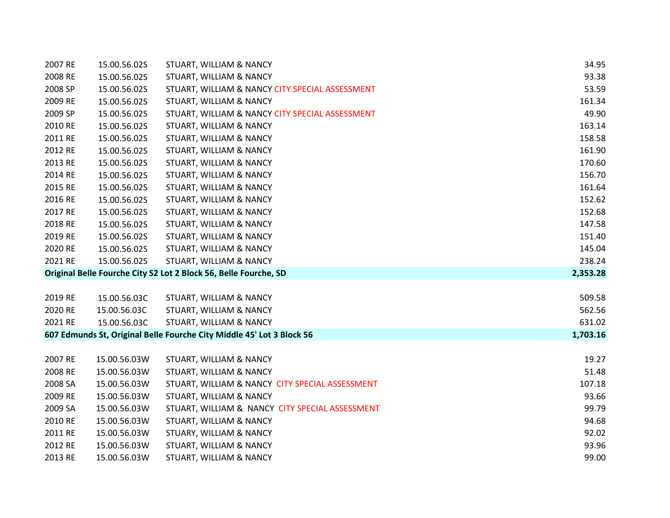| 2007 RE | 15.00.56.02S | STUART, WILLIAM & NANCY                                               | 34.95    |
|---------|--------------|-----------------------------------------------------------------------|----------|
| 2008 RE | 15.00.56.02S | STUART, WILLIAM & NANCY                                               | 93.38    |
| 2008 SP | 15.00.56.02S | STUART, WILLIAM & NANCY CITY SPECIAL ASSESSMENT                       | 53.59    |
| 2009 RE | 15.00.56.02S | STUART, WILLIAM & NANCY                                               | 161.34   |
| 2009 SP | 15.00.56.02S | STUART, WILLIAM & NANCY CITY SPECIAL ASSESSMENT                       | 49.90    |
| 2010 RE | 15.00.56.02S | STUART, WILLIAM & NANCY                                               | 163.14   |
| 2011 RE | 15.00.56.02S | STUART, WILLIAM & NANCY                                               | 158.58   |
| 2012 RE | 15.00.56.02S | STUART, WILLIAM & NANCY                                               | 161.90   |
| 2013 RE | 15.00.56.02S | STUART, WILLIAM & NANCY                                               | 170.60   |
| 2014 RE | 15.00.56.02S | STUART, WILLIAM & NANCY                                               | 156.70   |
| 2015 RE | 15.00.56.02S | STUART, WILLIAM & NANCY                                               | 161.64   |
| 2016 RE | 15.00.56.02S | STUART, WILLIAM & NANCY                                               | 152.62   |
| 2017 RE | 15.00.56.02S | STUART, WILLIAM & NANCY                                               | 152.68   |
| 2018 RE | 15.00.56.02S | STUART, WILLIAM & NANCY                                               | 147.58   |
| 2019 RE | 15.00.56.02S | STUART, WILLIAM & NANCY                                               | 151.40   |
| 2020 RE | 15.00.56.02S | STUART, WILLIAM & NANCY                                               | 145.04   |
| 2021 RE | 15.00.56.02S | STUART, WILLIAM & NANCY                                               | 238.24   |
|         |              | Original Belle Fourche City S2 Lot 2 Block 56, Belle Fourche, SD      | 2,353.28 |
|         |              |                                                                       |          |
| 2019 RE | 15.00.56.03C | STUART, WILLIAM & NANCY                                               | 509.58   |
| 2020 RE | 15.00.56.03C | STUART, WILLIAM & NANCY                                               | 562.56   |
| 2021 RE | 15.00.56.03C | STUART, WILLIAM & NANCY                                               | 631.02   |
|         |              | 607 Edmunds St, Original Belle Fourche City Middle 45' Lot 3 Block 56 | 1,703.16 |
|         |              |                                                                       |          |
| 2007 RE | 15.00.56.03W | STUART, WILLIAM & NANCY                                               | 19.27    |
| 2008 RE | 15.00.56.03W | STUART, WILLIAM & NANCY                                               | 51.48    |
| 2008 SA | 15.00.56.03W | STUART, WILLIAM & NANCY CITY SPECIAL ASSESSMENT                       | 107.18   |
| 2009 RE | 15.00.56.03W | STUART, WILLIAM & NANCY                                               | 93.66    |
| 2009 SA | 15.00.56.03W | STUART, WILLIAM & NANCY CITY SPECIAL ASSESSMENT                       | 99.79    |
| 2010 RE | 15.00.56.03W | STUART, WILLIAM & NANCY                                               | 94.68    |
| 2011 RE | 15.00.56.03W | STUARY, WILLIAM & NANCY                                               | 92.02    |
| 2012 RE | 15.00.56.03W | STUART, WILLIAM & NANCY                                               | 93.96    |
| 2013 RE | 15.00.56.03W | STUART, WILLIAM & NANCY                                               | 99.00    |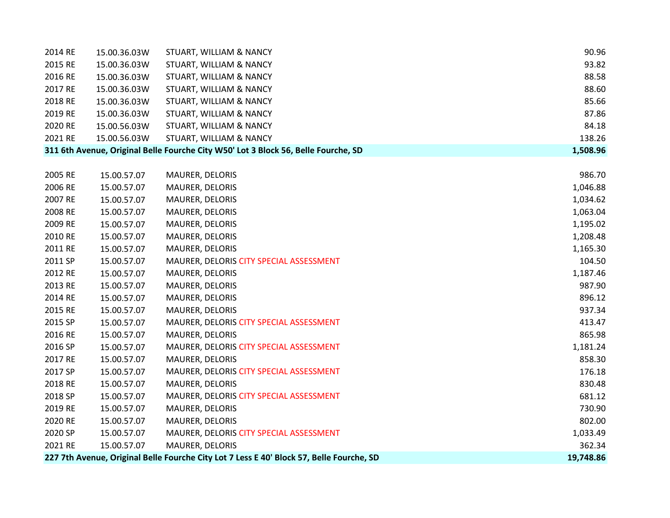| 2014 RE | 15.00.36.03W | STUART, WILLIAM & NANCY                                                                  | 90.96     |
|---------|--------------|------------------------------------------------------------------------------------------|-----------|
| 2015 RE | 15.00.36.03W | STUART, WILLIAM & NANCY                                                                  | 93.82     |
| 2016 RE | 15.00.36.03W | STUART, WILLIAM & NANCY                                                                  | 88.58     |
| 2017 RE | 15.00.36.03W | STUART, WILLIAM & NANCY                                                                  | 88.60     |
| 2018 RE | 15.00.36.03W | STUART, WILLIAM & NANCY                                                                  | 85.66     |
| 2019 RE | 15.00.36.03W | STUART, WILLIAM & NANCY                                                                  | 87.86     |
| 2020 RE | 15.00.56.03W | STUART, WILLIAM & NANCY                                                                  | 84.18     |
| 2021 RE | 15.00.56.03W | STUART, WILLIAM & NANCY                                                                  | 138.26    |
|         |              | 311 6th Avenue, Original Belle Fourche City W50' Lot 3 Block 56, Belle Fourche, SD       | 1,508.96  |
|         |              |                                                                                          |           |
| 2005 RE | 15.00.57.07  | MAURER, DELORIS                                                                          | 986.70    |
| 2006 RE | 15.00.57.07  | MAURER, DELORIS                                                                          | 1,046.88  |
| 2007 RE | 15.00.57.07  | MAURER, DELORIS                                                                          | 1,034.62  |
| 2008 RE | 15.00.57.07  | MAURER, DELORIS                                                                          | 1,063.04  |
| 2009 RE | 15.00.57.07  | MAURER, DELORIS                                                                          | 1,195.02  |
| 2010 RE | 15.00.57.07  | MAURER, DELORIS                                                                          | 1,208.48  |
| 2011 RE | 15.00.57.07  | MAURER, DELORIS                                                                          | 1,165.30  |
| 2011 SP | 15.00.57.07  | MAURER, DELORIS CITY SPECIAL ASSESSMENT                                                  | 104.50    |
| 2012 RE | 15.00.57.07  | MAURER, DELORIS                                                                          | 1,187.46  |
| 2013 RE | 15.00.57.07  | MAURER, DELORIS                                                                          | 987.90    |
| 2014 RE | 15.00.57.07  | MAURER, DELORIS                                                                          | 896.12    |
| 2015 RE | 15.00.57.07  | MAURER, DELORIS                                                                          | 937.34    |
| 2015 SP | 15.00.57.07  | MAURER, DELORIS CITY SPECIAL ASSESSMENT                                                  | 413.47    |
| 2016 RE | 15.00.57.07  | MAURER, DELORIS                                                                          | 865.98    |
| 2016 SP | 15.00.57.07  | MAURER, DELORIS CITY SPECIAL ASSESSMENT                                                  | 1,181.24  |
| 2017 RE | 15.00.57.07  | MAURER, DELORIS                                                                          | 858.30    |
| 2017 SP | 15.00.57.07  | MAURER, DELORIS CITY SPECIAL ASSESSMENT                                                  | 176.18    |
| 2018 RE | 15.00.57.07  | MAURER, DELORIS                                                                          | 830.48    |
| 2018 SP | 15.00.57.07  | MAURER, DELORIS CITY SPECIAL ASSESSMENT                                                  | 681.12    |
| 2019 RE | 15.00.57.07  | MAURER, DELORIS                                                                          | 730.90    |
| 2020 RE | 15.00.57.07  | MAURER, DELORIS                                                                          | 802.00    |
| 2020 SP | 15.00.57.07  | MAURER, DELORIS CITY SPECIAL ASSESSMENT                                                  | 1,033.49  |
| 2021 RE | 15.00.57.07  | <b>MAURER, DELORIS</b>                                                                   | 362.34    |
|         |              | 227 7th Avenue, Original Belle Fourche City Lot 7 Less E 40' Block 57, Belle Fourche, SD | 19,748.86 |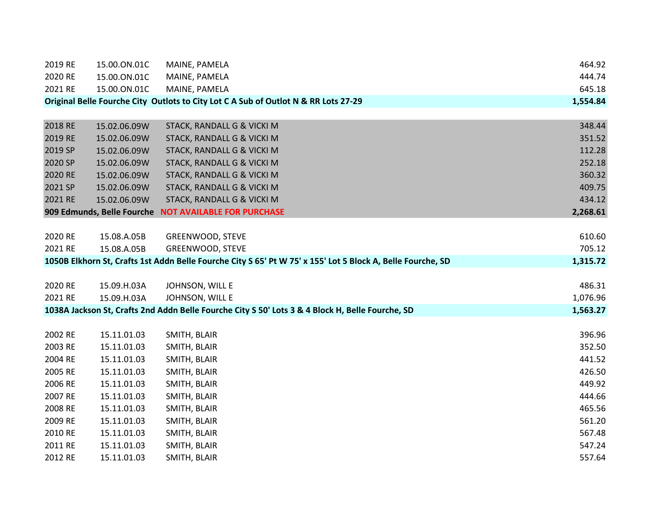| 2019 RE | 15.00.ON.01C | MAINE, PAMELA                                                                                               | 464.92   |
|---------|--------------|-------------------------------------------------------------------------------------------------------------|----------|
| 2020 RE | 15.00.ON.01C | MAINE, PAMELA                                                                                               | 444.74   |
| 2021 RE | 15.00.ON.01C | MAINE, PAMELA                                                                                               | 645.18   |
|         |              | Original Belle Fourche City Outlots to City Lot C A Sub of Outlot N & RR Lots 27-29                         | 1,554.84 |
|         |              |                                                                                                             |          |
| 2018 RE | 15.02.06.09W | STACK, RANDALL G & VICKI M                                                                                  | 348.44   |
| 2019 RE | 15.02.06.09W | STACK, RANDALL G & VICKI M                                                                                  | 351.52   |
| 2019 SP | 15.02.06.09W | STACK, RANDALL G & VICKI M                                                                                  | 112.28   |
| 2020 SP | 15.02.06.09W | STACK, RANDALL G & VICKI M                                                                                  | 252.18   |
| 2020 RE | 15.02.06.09W | STACK, RANDALL G & VICKI M                                                                                  | 360.32   |
| 2021 SP | 15.02.06.09W | STACK, RANDALL G & VICKI M                                                                                  | 409.75   |
| 2021 RE | 15.02.06.09W | STACK, RANDALL G & VICKI M                                                                                  | 434.12   |
|         |              | 909 Edmunds, Belle Fourche NOT AVAILABLE FOR PURCHASE                                                       | 2,268.61 |
|         |              |                                                                                                             |          |
| 2020 RE | 15.08.A.05B  | GREENWOOD, STEVE                                                                                            | 610.60   |
| 2021 RE | 15.08.A.05B  | GREENWOOD, STEVE                                                                                            | 705.12   |
|         |              | 1050B Elkhorn St, Crafts 1st Addn Belle Fourche City S 65' Pt W 75' x 155' Lot 5 Block A, Belle Fourche, SD | 1,315.72 |
|         |              |                                                                                                             |          |
| 2020 RE | 15.09.H.03A  | JOHNSON, WILL E                                                                                             | 486.31   |
| 2021 RE | 15.09.H.03A  | JOHNSON, WILL E                                                                                             | 1,076.96 |
|         |              | 1038A Jackson St, Crafts 2nd Addn Belle Fourche City S 50' Lots 3 & 4 Block H, Belle Fourche, SD            | 1,563.27 |
|         |              |                                                                                                             |          |
| 2002 RE | 15.11.01.03  | SMITH, BLAIR                                                                                                | 396.96   |
| 2003 RE | 15.11.01.03  | SMITH, BLAIR                                                                                                | 352.50   |
| 2004 RE | 15.11.01.03  | SMITH, BLAIR                                                                                                | 441.52   |
| 2005 RE | 15.11.01.03  | SMITH, BLAIR                                                                                                | 426.50   |
| 2006 RE | 15.11.01.03  | SMITH, BLAIR                                                                                                | 449.92   |
| 2007 RE | 15.11.01.03  | SMITH, BLAIR                                                                                                | 444.66   |
| 2008 RE | 15.11.01.03  | SMITH, BLAIR                                                                                                | 465.56   |
| 2009 RE | 15.11.01.03  | SMITH, BLAIR                                                                                                | 561.20   |
| 2010 RE | 15.11.01.03  | SMITH, BLAIR                                                                                                | 567.48   |
| 2011 RE | 15.11.01.03  | SMITH, BLAIR                                                                                                | 547.24   |
| 2012 RE | 15.11.01.03  | SMITH, BLAIR                                                                                                | 557.64   |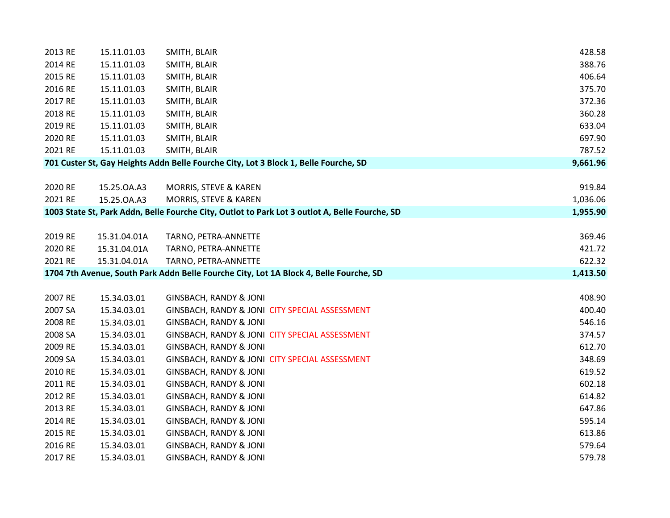| 2013 RE | 15.11.01.03  | SMITH, BLAIR                                                                                   | 428.58   |
|---------|--------------|------------------------------------------------------------------------------------------------|----------|
| 2014 RE | 15.11.01.03  | SMITH, BLAIR                                                                                   | 388.76   |
| 2015 RE | 15.11.01.03  | SMITH, BLAIR                                                                                   | 406.64   |
| 2016 RE | 15.11.01.03  | SMITH, BLAIR                                                                                   | 375.70   |
| 2017 RE | 15.11.01.03  | SMITH, BLAIR                                                                                   | 372.36   |
| 2018 RE | 15.11.01.03  | SMITH, BLAIR                                                                                   | 360.28   |
| 2019 RE | 15.11.01.03  | SMITH, BLAIR                                                                                   | 633.04   |
| 2020 RE | 15.11.01.03  | SMITH, BLAIR                                                                                   | 697.90   |
| 2021 RE | 15.11.01.03  | SMITH, BLAIR                                                                                   | 787.52   |
|         |              | 701 Custer St, Gay Heights Addn Belle Fourche City, Lot 3 Block 1, Belle Fourche, SD           | 9,661.96 |
|         |              |                                                                                                |          |
| 2020 RE | 15.25.0A.A3  | MORRIS, STEVE & KAREN                                                                          | 919.84   |
| 2021 RE | 15.25.0A.A3  | MORRIS, STEVE & KAREN                                                                          | 1,036.06 |
|         |              | 1003 State St, Park Addn, Belle Fourche City, Outlot to Park Lot 3 outlot A, Belle Fourche, SD | 1,955.90 |
|         |              |                                                                                                |          |
| 2019 RE | 15.31.04.01A | TARNO, PETRA-ANNETTE                                                                           | 369.46   |
| 2020 RE | 15.31.04.01A | TARNO, PETRA-ANNETTE                                                                           | 421.72   |
| 2021 RE | 15.31.04.01A | TARNO, PETRA-ANNETTE                                                                           | 622.32   |
|         |              | 1704 7th Avenue, South Park Addn Belle Fourche City, Lot 1A Block 4, Belle Fourche, SD         | 1,413.50 |
|         |              |                                                                                                |          |
| 2007 RE | 15.34.03.01  | <b>GINSBACH, RANDY &amp; JONI</b>                                                              | 408.90   |
| 2007 SA | 15.34.03.01  | GINSBACH, RANDY & JONI CITY SPECIAL ASSESSMENT                                                 | 400.40   |
| 2008 RE | 15.34.03.01  | <b>GINSBACH, RANDY &amp; JONI</b>                                                              | 546.16   |
| 2008 SA | 15.34.03.01  | GINSBACH, RANDY & JONI CITY SPECIAL ASSESSMENT                                                 | 374.57   |
| 2009 RE | 15.34.03.01  | <b>GINSBACH, RANDY &amp; JONI</b>                                                              | 612.70   |
| 2009 SA | 15.34.03.01  | GINSBACH, RANDY & JONI CITY SPECIAL ASSESSMENT                                                 | 348.69   |
| 2010 RE | 15.34.03.01  | <b>GINSBACH, RANDY &amp; JONI</b>                                                              | 619.52   |
| 2011 RE | 15.34.03.01  | <b>GINSBACH, RANDY &amp; JONI</b>                                                              | 602.18   |
| 2012 RE | 15.34.03.01  | <b>GINSBACH, RANDY &amp; JONI</b>                                                              | 614.82   |
| 2013 RE | 15.34.03.01  | <b>GINSBACH, RANDY &amp; JONI</b>                                                              | 647.86   |
| 2014 RE | 15.34.03.01  | <b>GINSBACH, RANDY &amp; JONI</b>                                                              | 595.14   |
| 2015 RE | 15.34.03.01  | <b>GINSBACH, RANDY &amp; JONI</b>                                                              | 613.86   |
| 2016 RE | 15.34.03.01  | <b>GINSBACH, RANDY &amp; JONI</b>                                                              | 579.64   |
| 2017 RE | 15.34.03.01  | <b>GINSBACH, RANDY &amp; JONI</b>                                                              | 579.78   |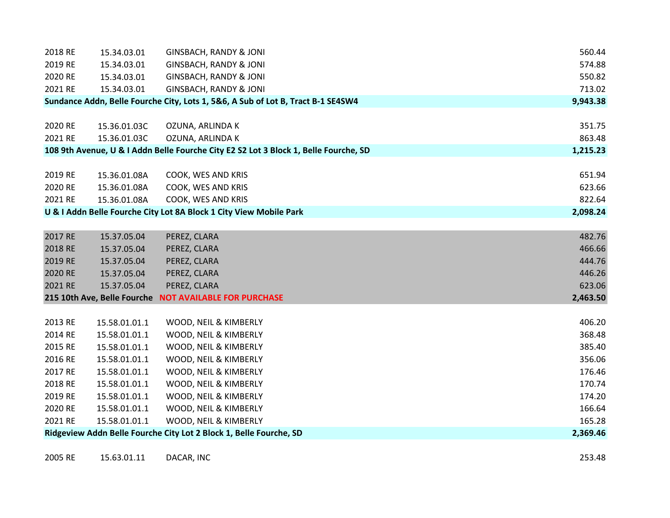| 2018 RE | 15.34.03.01                 | <b>GINSBACH, RANDY &amp; JONI</b>                                                    |          | 560.44 |
|---------|-----------------------------|--------------------------------------------------------------------------------------|----------|--------|
| 2019 RE | 15.34.03.01                 | <b>GINSBACH, RANDY &amp; JONI</b>                                                    |          | 574.88 |
| 2020 RE | 15.34.03.01                 | <b>GINSBACH, RANDY &amp; JONI</b>                                                    |          | 550.82 |
| 2021 RE | 15.34.03.01                 | <b>GINSBACH, RANDY &amp; JONI</b>                                                    |          | 713.02 |
|         |                             | Sundance Addn, Belle Fourche City, Lots 1, 5&6, A Sub of Lot B, Tract B-1 SE4SW4     | 9,943.38 |        |
|         |                             |                                                                                      |          |        |
| 2020 RE | 15.36.01.03C                | OZUNA, ARLINDA K                                                                     |          | 351.75 |
| 2021 RE | 15.36.01.03C                | OZUNA, ARLINDA K                                                                     |          | 863.48 |
|         |                             | 108 9th Avenue, U & I Addn Belle Fourche City E2 S2 Lot 3 Block 1, Belle Fourche, SD | 1,215.23 |        |
|         |                             |                                                                                      |          |        |
| 2019 RE | 15.36.01.08A                | COOK, WES AND KRIS                                                                   |          | 651.94 |
| 2020 RE | 15.36.01.08A                | COOK, WES AND KRIS                                                                   |          | 623.66 |
| 2021 RE | 15.36.01.08A                | COOK, WES AND KRIS                                                                   |          | 822.64 |
|         |                             | U & I Addn Belle Fourche City Lot 8A Block 1 City View Mobile Park                   | 2,098.24 |        |
|         |                             |                                                                                      |          |        |
| 2017 RE | 15.37.05.04                 | PEREZ, CLARA                                                                         |          | 482.76 |
| 2018 RE | 15.37.05.04                 | PEREZ, CLARA                                                                         |          | 466.66 |
| 2019 RE | 15.37.05.04                 | PEREZ, CLARA                                                                         |          | 444.76 |
| 2020 RE | 15.37.05.04                 | PEREZ, CLARA                                                                         |          | 446.26 |
| 2021 RE | 15.37.05.04                 | PEREZ, CLARA                                                                         |          | 623.06 |
|         | 215 10th Ave, Belle Fourche | <b>NOT AVAILABLE FOR PURCHASE</b>                                                    | 2,463.50 |        |
|         |                             |                                                                                      |          |        |
| 2013 RE | 15.58.01.01.1               | WOOD, NEIL & KIMBERLY                                                                |          | 406.20 |
| 2014 RE | 15.58.01.01.1               | WOOD, NEIL & KIMBERLY                                                                |          | 368.48 |
| 2015 RE | 15.58.01.01.1               | WOOD, NEIL & KIMBERLY                                                                |          | 385.40 |
| 2016 RE | 15.58.01.01.1               | WOOD, NEIL & KIMBERLY                                                                |          | 356.06 |
| 2017 RE | 15.58.01.01.1               | WOOD, NEIL & KIMBERLY                                                                |          | 176.46 |
| 2018 RE | 15.58.01.01.1               | WOOD, NEIL & KIMBERLY                                                                |          | 170.74 |
| 2019 RE | 15.58.01.01.1               | WOOD, NEIL & KIMBERLY                                                                |          | 174.20 |
| 2020 RE | 15.58.01.01.1               | WOOD, NEIL & KIMBERLY                                                                |          | 166.64 |
| 2021 RE | 15.58.01.01.1               | WOOD, NEIL & KIMBERLY                                                                |          | 165.28 |
|         |                             | Ridgeview Addn Belle Fourche City Lot 2 Block 1, Belle Fourche, SD                   | 2,369.46 |        |

2005 RE 15.63.01.11 DACAR, INC 253.48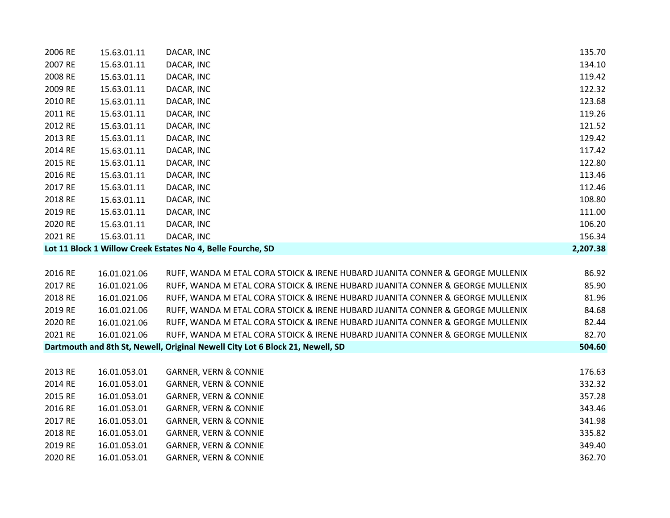| 2006 RE | 15.63.01.11  | DACAR, INC                                                                     | 135.70   |
|---------|--------------|--------------------------------------------------------------------------------|----------|
| 2007 RE | 15.63.01.11  | DACAR, INC                                                                     | 134.10   |
| 2008 RE | 15.63.01.11  | DACAR, INC                                                                     | 119.42   |
| 2009 RE | 15.63.01.11  | DACAR, INC                                                                     | 122.32   |
| 2010 RE | 15.63.01.11  | DACAR, INC                                                                     | 123.68   |
| 2011 RE | 15.63.01.11  | DACAR, INC                                                                     | 119.26   |
| 2012 RE | 15.63.01.11  | DACAR, INC                                                                     | 121.52   |
| 2013 RE | 15.63.01.11  | DACAR, INC                                                                     | 129.42   |
| 2014 RE | 15.63.01.11  | DACAR, INC                                                                     | 117.42   |
| 2015 RE | 15.63.01.11  | DACAR, INC                                                                     | 122.80   |
| 2016 RE | 15.63.01.11  | DACAR, INC                                                                     | 113.46   |
| 2017 RE | 15.63.01.11  | DACAR, INC                                                                     | 112.46   |
| 2018 RE | 15.63.01.11  | DACAR, INC                                                                     | 108.80   |
| 2019 RE | 15.63.01.11  | DACAR, INC                                                                     | 111.00   |
| 2020 RE | 15.63.01.11  | DACAR, INC                                                                     | 106.20   |
| 2021 RE | 15.63.01.11  | DACAR, INC                                                                     | 156.34   |
|         |              | Lot 11 Block 1 Willow Creek Estates No 4, Belle Fourche, SD                    | 2,207.38 |
|         |              |                                                                                |          |
| 2016 RE | 16.01.021.06 | RUFF, WANDA M ETAL CORA STOICK & IRENE HUBARD JUANITA CONNER & GEORGE MULLENIX | 86.92    |
| 2017 RE | 16.01.021.06 | RUFF, WANDA M ETAL CORA STOICK & IRENE HUBARD JUANITA CONNER & GEORGE MULLENIX | 85.90    |
| 2018 RE | 16.01.021.06 | RUFF, WANDA M ETAL CORA STOICK & IRENE HUBARD JUANITA CONNER & GEORGE MULLENIX | 81.96    |
| 2019 RE | 16.01.021.06 | RUFF, WANDA M ETAL CORA STOICK & IRENE HUBARD JUANITA CONNER & GEORGE MULLENIX | 84.68    |
| 2020 RE | 16.01.021.06 | RUFF, WANDA M ETAL CORA STOICK & IRENE HUBARD JUANITA CONNER & GEORGE MULLENIX | 82.44    |
| 2021 RE | 16.01.021.06 | RUFF, WANDA M ETAL CORA STOICK & IRENE HUBARD JUANITA CONNER & GEORGE MULLENIX | 82.70    |
|         |              | Dartmouth and 8th St, Newell, Original Newell City Lot 6 Block 21, Newell, SD  | 504.60   |
|         |              |                                                                                |          |
| 2013 RE | 16.01.053.01 | <b>GARNER, VERN &amp; CONNIE</b>                                               | 176.63   |
| 2014 RE | 16.01.053.01 | <b>GARNER, VERN &amp; CONNIE</b>                                               | 332.32   |
| 2015 RE | 16.01.053.01 | <b>GARNER, VERN &amp; CONNIE</b>                                               | 357.28   |
| 2016 RE | 16.01.053.01 | <b>GARNER, VERN &amp; CONNIE</b>                                               | 343.46   |
| 2017 RE | 16.01.053.01 | <b>GARNER, VERN &amp; CONNIE</b>                                               | 341.98   |
| 2018 RE | 16.01.053.01 | <b>GARNER, VERN &amp; CONNIE</b>                                               | 335.82   |
| 2019 RE | 16.01.053.01 | <b>GARNER, VERN &amp; CONNIE</b>                                               | 349.40   |
| 2020 RE | 16.01.053.01 | <b>GARNER, VERN &amp; CONNIE</b>                                               | 362.70   |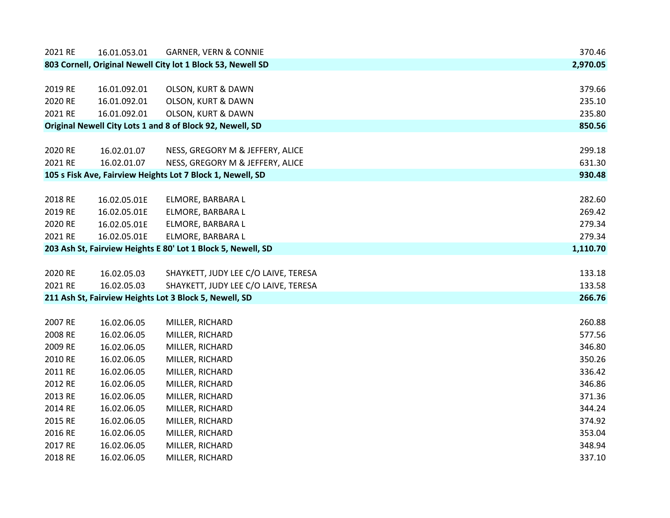| 2021 RE | 16.01.053.01                                                 | <b>GARNER, VERN &amp; CONNIE</b>                            | 370.46   |
|---------|--------------------------------------------------------------|-------------------------------------------------------------|----------|
|         |                                                              | 803 Cornell, Original Newell City lot 1 Block 53, Newell SD | 2,970.05 |
|         |                                                              |                                                             |          |
| 2019 RE | 16.01.092.01                                                 | OLSON, KURT & DAWN                                          | 379.66   |
| 2020 RE | 16.01.092.01                                                 | <b>OLSON, KURT &amp; DAWN</b>                               | 235.10   |
| 2021 RE | 16.01.092.01                                                 | <b>OLSON, KURT &amp; DAWN</b>                               | 235.80   |
|         |                                                              | Original Newell City Lots 1 and 8 of Block 92, Newell, SD   | 850.56   |
|         |                                                              |                                                             |          |
| 2020 RE | 16.02.01.07                                                  | NESS, GREGORY M & JEFFERY, ALICE                            | 299.18   |
| 2021 RE | 16.02.01.07                                                  | NESS, GREGORY M & JEFFERY, ALICE                            | 631.30   |
|         |                                                              | 105 s Fisk Ave, Fairview Heights Lot 7 Block 1, Newell, SD  | 930.48   |
|         |                                                              |                                                             |          |
| 2018 RE | 16.02.05.01E                                                 | ELMORE, BARBARA L                                           | 282.60   |
| 2019 RE | 16.02.05.01E                                                 | ELMORE, BARBARA L                                           | 269.42   |
| 2020 RE | 16.02.05.01E                                                 | ELMORE, BARBARA L                                           | 279.34   |
| 2021 RE | 16.02.05.01E                                                 | ELMORE, BARBARA L                                           | 279.34   |
|         | 203 Ash St, Fairview Heights E 80' Lot 1 Block 5, Newell, SD |                                                             |          |
|         |                                                              |                                                             |          |
| 2020 RE | 16.02.05.03                                                  | SHAYKETT, JUDY LEE C/O LAIVE, TERESA                        | 133.18   |
| 2021 RE | 16.02.05.03                                                  | SHAYKETT, JUDY LEE C/O LAIVE, TERESA                        | 133.58   |
|         |                                                              | 211 Ash St, Fairview Heights Lot 3 Block 5, Newell, SD      | 266.76   |
|         |                                                              |                                                             |          |
| 2007 RE | 16.02.06.05                                                  | MILLER, RICHARD                                             | 260.88   |
| 2008 RE | 16.02.06.05                                                  | MILLER, RICHARD                                             | 577.56   |
| 2009 RE | 16.02.06.05                                                  | MILLER, RICHARD                                             | 346.80   |
| 2010 RE | 16.02.06.05                                                  | MILLER, RICHARD                                             | 350.26   |
| 2011 RE | 16.02.06.05                                                  | MILLER, RICHARD                                             | 336.42   |
| 2012 RE | 16.02.06.05                                                  | MILLER, RICHARD                                             | 346.86   |
| 2013 RE |                                                              |                                                             |          |
|         | 16.02.06.05                                                  | MILLER, RICHARD                                             | 371.36   |
| 2014 RE | 16.02.06.05                                                  | MILLER, RICHARD                                             | 344.24   |
| 2015 RE | 16.02.06.05                                                  | MILLER, RICHARD                                             | 374.92   |
| 2016 RE | 16.02.06.05                                                  | MILLER, RICHARD                                             | 353.04   |
| 2017 RE | 16.02.06.05                                                  | MILLER, RICHARD                                             | 348.94   |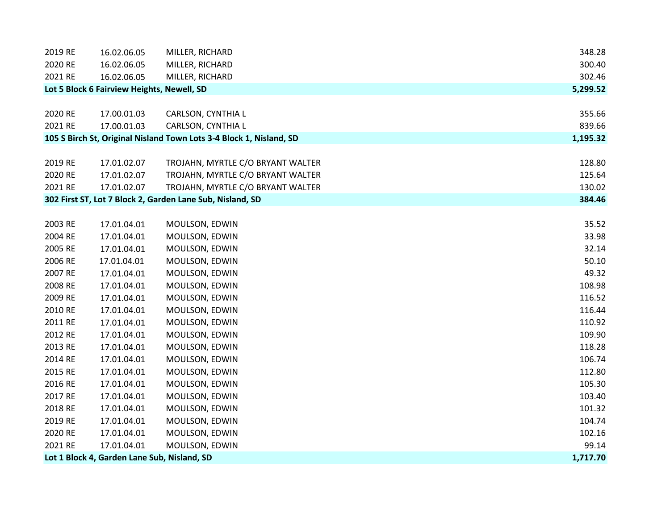| 2019 RE | 16.02.06.05                                 | MILLER, RICHARD                                                     | 348.28   |
|---------|---------------------------------------------|---------------------------------------------------------------------|----------|
| 2020 RE | 16.02.06.05                                 | MILLER, RICHARD                                                     | 300.40   |
| 2021 RE | 16.02.06.05                                 | MILLER, RICHARD                                                     | 302.46   |
|         | Lot 5 Block 6 Fairview Heights, Newell, SD  |                                                                     | 5,299.52 |
|         |                                             |                                                                     |          |
| 2020 RE | 17.00.01.03                                 | CARLSON, CYNTHIA L                                                  | 355.66   |
| 2021 RE | 17.00.01.03                                 | CARLSON, CYNTHIA L                                                  | 839.66   |
|         |                                             | 105 S Birch St, Original Nisland Town Lots 3-4 Block 1, Nisland, SD | 1,195.32 |
|         |                                             |                                                                     |          |
| 2019 RE | 17.01.02.07                                 | TROJAHN, MYRTLE C/O BRYANT WALTER                                   | 128.80   |
| 2020 RE | 17.01.02.07                                 | TROJAHN, MYRTLE C/O BRYANT WALTER                                   | 125.64   |
| 2021 RE | 17.01.02.07                                 | TROJAHN, MYRTLE C/O BRYANT WALTER                                   | 130.02   |
|         |                                             | 302 First ST, Lot 7 Block 2, Garden Lane Sub, Nisland, SD           | 384.46   |
|         |                                             |                                                                     |          |
| 2003 RE | 17.01.04.01                                 | MOULSON, EDWIN                                                      | 35.52    |
| 2004 RE | 17.01.04.01                                 | MOULSON, EDWIN                                                      | 33.98    |
| 2005 RE | 17.01.04.01                                 | MOULSON, EDWIN                                                      | 32.14    |
| 2006 RE | 17.01.04.01                                 | MOULSON, EDWIN                                                      | 50.10    |
| 2007 RE | 17.01.04.01                                 | MOULSON, EDWIN                                                      | 49.32    |
| 2008 RE | 17.01.04.01                                 | MOULSON, EDWIN                                                      | 108.98   |
| 2009 RE | 17.01.04.01                                 | MOULSON, EDWIN                                                      | 116.52   |
| 2010 RE | 17.01.04.01                                 | MOULSON, EDWIN                                                      | 116.44   |
| 2011 RE | 17.01.04.01                                 | MOULSON, EDWIN                                                      | 110.92   |
| 2012 RE | 17.01.04.01                                 | MOULSON, EDWIN                                                      | 109.90   |
| 2013 RE | 17.01.04.01                                 | MOULSON, EDWIN                                                      | 118.28   |
| 2014 RE | 17.01.04.01                                 | MOULSON, EDWIN                                                      | 106.74   |
| 2015 RE | 17.01.04.01                                 | MOULSON, EDWIN                                                      | 112.80   |
| 2016 RE | 17.01.04.01                                 | MOULSON, EDWIN                                                      | 105.30   |
| 2017 RE | 17.01.04.01                                 | MOULSON, EDWIN                                                      | 103.40   |
| 2018 RE | 17.01.04.01                                 | MOULSON, EDWIN                                                      | 101.32   |
| 2019 RE | 17.01.04.01                                 | MOULSON, EDWIN                                                      | 104.74   |
| 2020 RE | 17.01.04.01                                 | MOULSON, EDWIN                                                      | 102.16   |
| 2021 RE | 17.01.04.01                                 | MOULSON, EDWIN                                                      | 99.14    |
|         | Lot 1 Block 4, Garden Lane Sub, Nisland, SD |                                                                     | 1,717.70 |